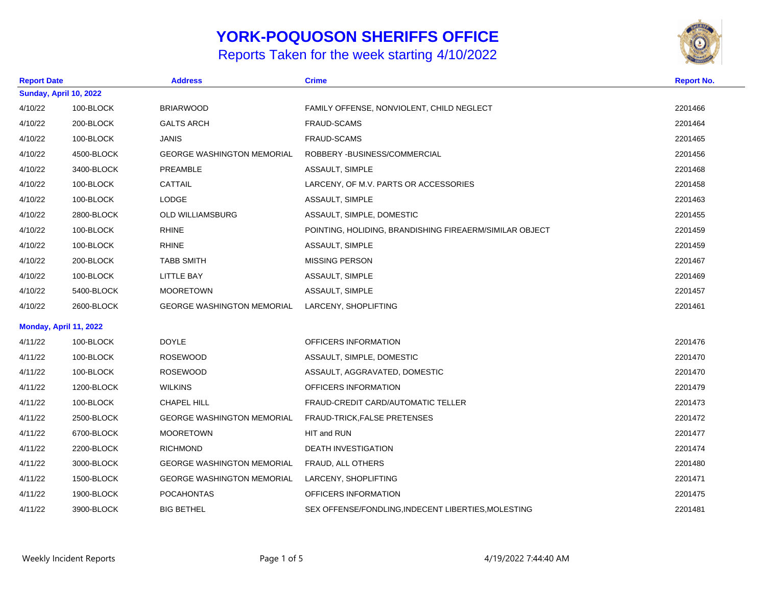## **YORK-POQUOSON SHERIFFS OFFICE**

## Reports Taken for the week starting 4/10/2022



| <b>Report Date</b> |                               | <b>Address</b>                    | <b>Crime</b>                                            | <b>Report No.</b> |
|--------------------|-------------------------------|-----------------------------------|---------------------------------------------------------|-------------------|
|                    | <b>Sunday, April 10, 2022</b> |                                   |                                                         |                   |
| 4/10/22            | 100-BLOCK                     | <b>BRIARWOOD</b>                  | FAMILY OFFENSE, NONVIOLENT, CHILD NEGLECT               | 2201466           |
| 4/10/22            | 200-BLOCK                     | <b>GALTS ARCH</b>                 | FRAUD-SCAMS                                             | 2201464           |
| 4/10/22            | 100-BLOCK                     | <b>JANIS</b>                      | <b>FRAUD-SCAMS</b>                                      | 2201465           |
| 4/10/22            | 4500-BLOCK                    | <b>GEORGE WASHINGTON MEMORIAL</b> | ROBBERY - BUSINESS/COMMERCIAL                           | 2201456           |
| 4/10/22            | 3400-BLOCK                    | PREAMBLE                          | ASSAULT, SIMPLE                                         | 2201468           |
| 4/10/22            | 100-BLOCK                     | <b>CATTAIL</b>                    | LARCENY, OF M.V. PARTS OR ACCESSORIES                   | 2201458           |
| 4/10/22            | 100-BLOCK                     | LODGE                             | ASSAULT, SIMPLE                                         | 2201463           |
| 4/10/22            | 2800-BLOCK                    | OLD WILLIAMSBURG                  | ASSAULT, SIMPLE, DOMESTIC                               | 2201455           |
| 4/10/22            | 100-BLOCK                     | <b>RHINE</b>                      | POINTING, HOLIDING, BRANDISHING FIREAERM/SIMILAR OBJECT | 2201459           |
| 4/10/22            | 100-BLOCK                     | <b>RHINE</b>                      | ASSAULT, SIMPLE                                         | 2201459           |
| 4/10/22            | 200-BLOCK                     | <b>TABB SMITH</b>                 | <b>MISSING PERSON</b>                                   | 2201467           |
| 4/10/22            | 100-BLOCK                     | <b>LITTLE BAY</b>                 | ASSAULT, SIMPLE                                         | 2201469           |
| 4/10/22            | 5400-BLOCK                    | <b>MOORETOWN</b>                  | ASSAULT, SIMPLE                                         | 2201457           |
| 4/10/22            | 2600-BLOCK                    | <b>GEORGE WASHINGTON MEMORIAL</b> | LARCENY, SHOPLIFTING                                    | 2201461           |
|                    | Monday, April 11, 2022        |                                   |                                                         |                   |
| 4/11/22            | 100-BLOCK                     | <b>DOYLE</b>                      | OFFICERS INFORMATION                                    | 2201476           |
| 4/11/22            | 100-BLOCK                     | <b>ROSEWOOD</b>                   | ASSAULT, SIMPLE, DOMESTIC                               | 2201470           |
| 4/11/22            | 100-BLOCK                     | <b>ROSEWOOD</b>                   | ASSAULT, AGGRAVATED, DOMESTIC                           | 2201470           |
| 4/11/22            | 1200-BLOCK                    | <b>WILKINS</b>                    | OFFICERS INFORMATION                                    | 2201479           |
| 4/11/22            | 100-BLOCK                     | CHAPEL HILL                       | FRAUD-CREDIT CARD/AUTOMATIC TELLER                      | 2201473           |
| 4/11/22            | 2500-BLOCK                    | <b>GEORGE WASHINGTON MEMORIAL</b> | FRAUD-TRICK, FALSE PRETENSES                            | 2201472           |
| 4/11/22            | 6700-BLOCK                    | <b>MOORETOWN</b>                  | HIT and RUN                                             | 2201477           |
| 4/11/22            | 2200-BLOCK                    | <b>RICHMOND</b>                   | DEATH INVESTIGATION                                     | 2201474           |
| 4/11/22            | 3000-BLOCK                    | <b>GEORGE WASHINGTON MEMORIAL</b> | FRAUD, ALL OTHERS                                       | 2201480           |
| 4/11/22            | 1500-BLOCK                    | <b>GEORGE WASHINGTON MEMORIAL</b> | LARCENY, SHOPLIFTING                                    | 2201471           |
| 4/11/22            | 1900-BLOCK                    | <b>POCAHONTAS</b>                 | OFFICERS INFORMATION                                    | 2201475           |
| 4/11/22            | 3900-BLOCK                    | <b>BIG BETHEL</b>                 | SEX OFFENSE/FONDLING, INDECENT LIBERTIES, MOLESTING     | 2201481           |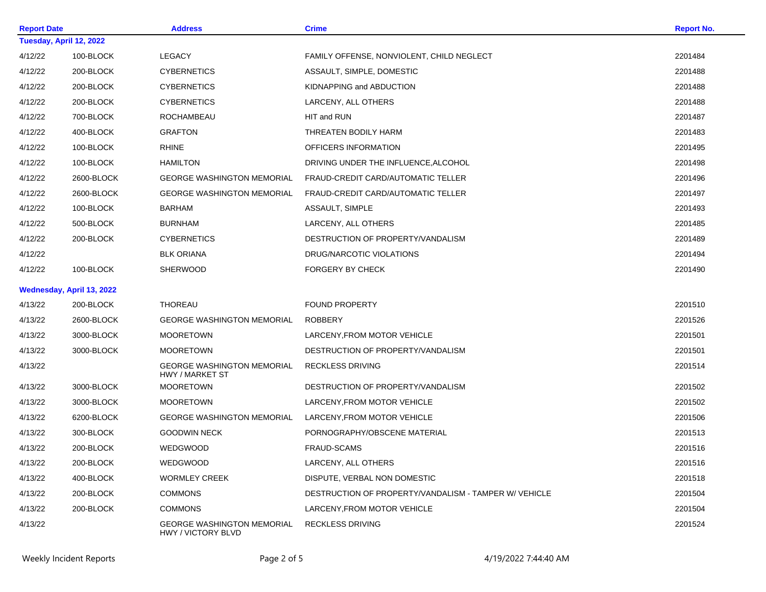| <b>Report Date</b> |                           | <b>Address</b>                                          | <b>Crime</b>                                          | <b>Report No.</b> |
|--------------------|---------------------------|---------------------------------------------------------|-------------------------------------------------------|-------------------|
|                    | Tuesday, April 12, 2022   |                                                         |                                                       |                   |
| 4/12/22            | 100-BLOCK                 | <b>LEGACY</b>                                           | FAMILY OFFENSE, NONVIOLENT, CHILD NEGLECT             | 2201484           |
| 4/12/22            | 200-BLOCK                 | <b>CYBERNETICS</b>                                      | ASSAULT, SIMPLE, DOMESTIC                             | 2201488           |
| 4/12/22            | 200-BLOCK                 | <b>CYBERNETICS</b>                                      | KIDNAPPING and ABDUCTION                              | 2201488           |
| 4/12/22            | 200-BLOCK                 | <b>CYBERNETICS</b>                                      | LARCENY, ALL OTHERS                                   | 2201488           |
| 4/12/22            | 700-BLOCK                 | ROCHAMBEAU                                              | HIT and RUN                                           | 2201487           |
| 4/12/22            | 400-BLOCK                 | <b>GRAFTON</b>                                          | THREATEN BODILY HARM                                  | 2201483           |
| 4/12/22            | 100-BLOCK                 | <b>RHINE</b>                                            | OFFICERS INFORMATION                                  | 2201495           |
| 4/12/22            | 100-BLOCK                 | <b>HAMILTON</b>                                         | DRIVING UNDER THE INFLUENCE, ALCOHOL                  | 2201498           |
| 4/12/22            | 2600-BLOCK                | <b>GEORGE WASHINGTON MEMORIAL</b>                       | FRAUD-CREDIT CARD/AUTOMATIC TELLER                    | 2201496           |
| 4/12/22            | 2600-BLOCK                | <b>GEORGE WASHINGTON MEMORIAL</b>                       | FRAUD-CREDIT CARD/AUTOMATIC TELLER                    | 2201497           |
| 4/12/22            | 100-BLOCK                 | <b>BARHAM</b>                                           | ASSAULT, SIMPLE                                       | 2201493           |
| 4/12/22            | 500-BLOCK                 | <b>BURNHAM</b>                                          | LARCENY, ALL OTHERS                                   | 2201485           |
| 4/12/22            | 200-BLOCK                 | <b>CYBERNETICS</b>                                      | DESTRUCTION OF PROPERTY/VANDALISM                     | 2201489           |
| 4/12/22            |                           | <b>BLK ORIANA</b>                                       | DRUG/NARCOTIC VIOLATIONS                              | 2201494           |
| 4/12/22            | 100-BLOCK                 | <b>SHERWOOD</b>                                         | <b>FORGERY BY CHECK</b>                               | 2201490           |
|                    | Wednesday, April 13, 2022 |                                                         |                                                       |                   |
| 4/13/22            | 200-BLOCK                 | <b>THOREAU</b>                                          | <b>FOUND PROPERTY</b>                                 | 2201510           |
| 4/13/22            | 2600-BLOCK                | <b>GEORGE WASHINGTON MEMORIAL</b>                       | <b>ROBBERY</b>                                        | 2201526           |
| 4/13/22            | 3000-BLOCK                | <b>MOORETOWN</b>                                        | LARCENY, FROM MOTOR VEHICLE                           | 2201501           |
| 4/13/22            | 3000-BLOCK                | <b>MOORETOWN</b>                                        | DESTRUCTION OF PROPERTY/VANDALISM                     | 2201501           |
| 4/13/22            |                           | <b>GEORGE WASHINGTON MEMORIAL</b><br>HWY / MARKET ST    | <b>RECKLESS DRIVING</b>                               | 2201514           |
| 4/13/22            | 3000-BLOCK                | <b>MOORETOWN</b>                                        | DESTRUCTION OF PROPERTY/VANDALISM                     | 2201502           |
| 4/13/22            | 3000-BLOCK                | <b>MOORETOWN</b>                                        | LARCENY, FROM MOTOR VEHICLE                           | 2201502           |
| 4/13/22            | 6200-BLOCK                | <b>GEORGE WASHINGTON MEMORIAL</b>                       | LARCENY, FROM MOTOR VEHICLE                           | 2201506           |
| 4/13/22            | 300-BLOCK                 | <b>GOODWIN NECK</b>                                     | PORNOGRAPHY/OBSCENE MATERIAL                          | 2201513           |
| 4/13/22            | 200-BLOCK                 | WEDGWOOD                                                | <b>FRAUD-SCAMS</b>                                    | 2201516           |
| 4/13/22            | 200-BLOCK                 | WEDGWOOD                                                | LARCENY, ALL OTHERS                                   | 2201516           |
| 4/13/22            | 400-BLOCK                 | <b>WORMLEY CREEK</b>                                    | DISPUTE, VERBAL NON DOMESTIC                          | 2201518           |
| 4/13/22            | 200-BLOCK                 | <b>COMMONS</b>                                          | DESTRUCTION OF PROPERTY/VANDALISM - TAMPER W/ VEHICLE | 2201504           |
| 4/13/22            | 200-BLOCK                 | <b>COMMONS</b>                                          | LARCENY.FROM MOTOR VEHICLE                            | 2201504           |
| 4/13/22            |                           | <b>GEORGE WASHINGTON MEMORIAL</b><br>HWY / VICTORY BLVD | <b>RECKLESS DRIVING</b>                               | 2201524           |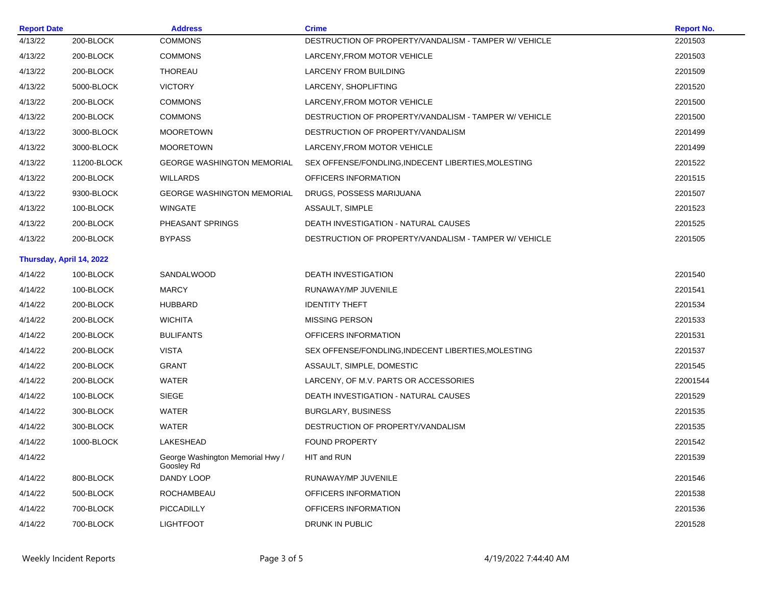| <b>Address</b><br><b>Report Date</b> |                          |                                                | <b>Crime</b>                                          | <b>Report No.</b> |
|--------------------------------------|--------------------------|------------------------------------------------|-------------------------------------------------------|-------------------|
| 4/13/22                              | 200-BLOCK                | <b>COMMONS</b>                                 | DESTRUCTION OF PROPERTY/VANDALISM - TAMPER W/ VEHICLE | 2201503           |
| 4/13/22                              | 200-BLOCK                | <b>COMMONS</b>                                 | LARCENY, FROM MOTOR VEHICLE                           | 2201503           |
| 4/13/22                              | 200-BLOCK                | THOREAU                                        | LARCENY FROM BUILDING                                 | 2201509           |
| 4/13/22                              | 5000-BLOCK               | <b>VICTORY</b>                                 | LARCENY, SHOPLIFTING                                  | 2201520           |
| 4/13/22                              | 200-BLOCK                | <b>COMMONS</b>                                 | LARCENY, FROM MOTOR VEHICLE                           | 2201500           |
| 4/13/22                              | 200-BLOCK                | <b>COMMONS</b>                                 | DESTRUCTION OF PROPERTY/VANDALISM - TAMPER W/ VEHICLE | 2201500           |
| 4/13/22                              | 3000-BLOCK               | <b>MOORETOWN</b>                               | DESTRUCTION OF PROPERTY/VANDALISM                     | 2201499           |
| 4/13/22                              | 3000-BLOCK               | <b>MOORETOWN</b>                               | LARCENY, FROM MOTOR VEHICLE                           | 2201499           |
| 4/13/22                              | 11200-BLOCK              | <b>GEORGE WASHINGTON MEMORIAL</b>              | SEX OFFENSE/FONDLING, INDECENT LIBERTIES, MOLESTING   | 2201522           |
| 4/13/22                              | 200-BLOCK                | <b>WILLARDS</b>                                | OFFICERS INFORMATION                                  | 2201515           |
| 4/13/22                              | 9300-BLOCK               | <b>GEORGE WASHINGTON MEMORIAL</b>              | DRUGS, POSSESS MARIJUANA                              | 2201507           |
| 4/13/22                              | 100-BLOCK                | WINGATE                                        | ASSAULT, SIMPLE                                       | 2201523           |
| 4/13/22                              | 200-BLOCK                | PHEASANT SPRINGS                               | DEATH INVESTIGATION - NATURAL CAUSES                  | 2201525           |
| 4/13/22                              | 200-BLOCK                | <b>BYPASS</b>                                  | DESTRUCTION OF PROPERTY/VANDALISM - TAMPER W/ VEHICLE | 2201505           |
|                                      | Thursday, April 14, 2022 |                                                |                                                       |                   |
| 4/14/22                              | 100-BLOCK                | <b>SANDALWOOD</b>                              | <b>DEATH INVESTIGATION</b>                            | 2201540           |
| 4/14/22                              | 100-BLOCK                | <b>MARCY</b>                                   | RUNAWAY/MP JUVENILE                                   | 2201541           |
| 4/14/22                              | 200-BLOCK                | <b>HUBBARD</b>                                 | <b>IDENTITY THEFT</b>                                 | 2201534           |
| 4/14/22                              | 200-BLOCK                | <b>WICHITA</b>                                 | <b>MISSING PERSON</b>                                 | 2201533           |
| 4/14/22                              | 200-BLOCK                | <b>BULIFANTS</b>                               | OFFICERS INFORMATION                                  | 2201531           |
| 4/14/22                              | 200-BLOCK                | <b>VISTA</b>                                   | SEX OFFENSE/FONDLING, INDECENT LIBERTIES, MOLESTING   | 2201537           |
| 4/14/22                              | 200-BLOCK                | <b>GRANT</b>                                   | ASSAULT, SIMPLE, DOMESTIC                             | 2201545           |
| 4/14/22                              | 200-BLOCK                | <b>WATER</b>                                   | LARCENY, OF M.V. PARTS OR ACCESSORIES                 | 22001544          |
| 4/14/22                              | 100-BLOCK                | <b>SIEGE</b>                                   | DEATH INVESTIGATION - NATURAL CAUSES                  | 2201529           |
| 4/14/22                              | 300-BLOCK                | <b>WATER</b>                                   | <b>BURGLARY, BUSINESS</b>                             | 2201535           |
| 4/14/22                              | 300-BLOCK                | <b>WATER</b>                                   | DESTRUCTION OF PROPERTY/VANDALISM                     | 2201535           |
| 4/14/22                              | 1000-BLOCK               | LAKESHEAD                                      | <b>FOUND PROPERTY</b>                                 | 2201542           |
| 4/14/22                              |                          | George Washington Memorial Hwy /<br>Goosley Rd | HIT and RUN                                           | 2201539           |
| 4/14/22                              | 800-BLOCK                | DANDY LOOP                                     | RUNAWAY/MP JUVENILE                                   | 2201546           |
| 4/14/22                              | 500-BLOCK                | ROCHAMBEAU                                     | OFFICERS INFORMATION                                  | 2201538           |
| 4/14/22                              | 700-BLOCK                | PICCADILLY                                     | OFFICERS INFORMATION                                  | 2201536           |
| 4/14/22                              | 700-BLOCK                | <b>LIGHTFOOT</b>                               | DRUNK IN PUBLIC                                       | 2201528           |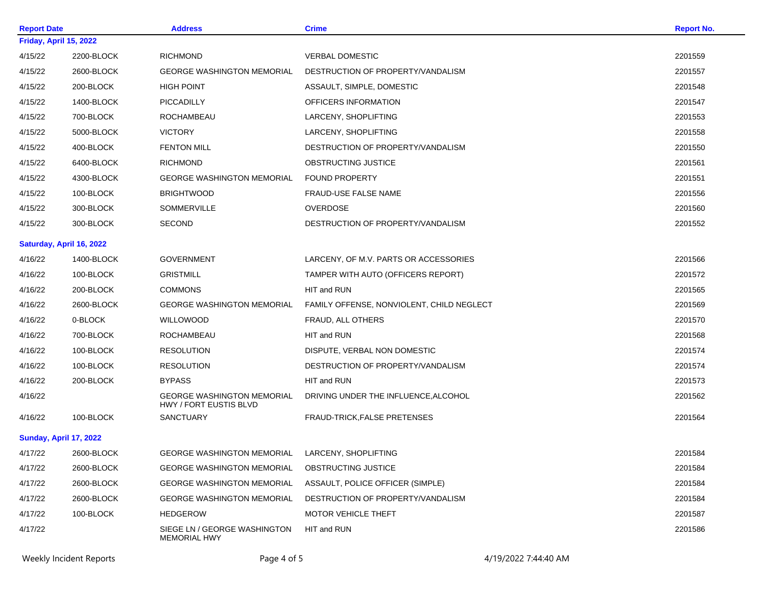| <b>Report Date</b> |                          | <b>Address</b>                                              | <b>Crime</b>                              | <b>Report No.</b> |
|--------------------|--------------------------|-------------------------------------------------------------|-------------------------------------------|-------------------|
|                    | Friday, April 15, 2022   |                                                             |                                           |                   |
| 4/15/22            | 2200-BLOCK               | <b>RICHMOND</b>                                             | <b>VERBAL DOMESTIC</b>                    | 2201559           |
| 4/15/22            | 2600-BLOCK               | <b>GEORGE WASHINGTON MEMORIAL</b>                           | DESTRUCTION OF PROPERTY/VANDALISM         | 2201557           |
| 4/15/22            | 200-BLOCK                | <b>HIGH POINT</b>                                           | ASSAULT, SIMPLE, DOMESTIC                 | 2201548           |
| 4/15/22            | 1400-BLOCK               | PICCADILLY                                                  | OFFICERS INFORMATION                      | 2201547           |
| 4/15/22            | 700-BLOCK                | ROCHAMBEAU                                                  | LARCENY, SHOPLIFTING                      | 2201553           |
| 4/15/22            | 5000-BLOCK               | <b>VICTORY</b>                                              | LARCENY, SHOPLIFTING                      | 2201558           |
| 4/15/22            | 400-BLOCK                | <b>FENTON MILL</b>                                          | DESTRUCTION OF PROPERTY/VANDALISM         | 2201550           |
| 4/15/22            | 6400-BLOCK               | <b>RICHMOND</b>                                             | OBSTRUCTING JUSTICE                       | 2201561           |
| 4/15/22            | 4300-BLOCK               | <b>GEORGE WASHINGTON MEMORIAL</b>                           | <b>FOUND PROPERTY</b>                     | 2201551           |
| 4/15/22            | 100-BLOCK                | <b>BRIGHTWOOD</b>                                           | <b>FRAUD-USE FALSE NAME</b>               | 2201556           |
| 4/15/22            | 300-BLOCK                | SOMMERVILLE                                                 | OVERDOSE                                  | 2201560           |
| 4/15/22            | 300-BLOCK                | <b>SECOND</b>                                               | DESTRUCTION OF PROPERTY/VANDALISM         | 2201552           |
|                    | Saturday, April 16, 2022 |                                                             |                                           |                   |
| 4/16/22            | 1400-BLOCK               | <b>GOVERNMENT</b>                                           | LARCENY, OF M.V. PARTS OR ACCESSORIES     | 2201566           |
| 4/16/22            | 100-BLOCK                | <b>GRISTMILL</b>                                            | TAMPER WITH AUTO (OFFICERS REPORT)        | 2201572           |
| 4/16/22            | 200-BLOCK                | <b>COMMONS</b>                                              | HIT and RUN                               | 2201565           |
| 4/16/22            | 2600-BLOCK               | <b>GEORGE WASHINGTON MEMORIAL</b>                           | FAMILY OFFENSE, NONVIOLENT, CHILD NEGLECT | 2201569           |
| 4/16/22            | 0-BLOCK                  | <b>WILLOWOOD</b>                                            | FRAUD, ALL OTHERS                         | 2201570           |
| 4/16/22            | 700-BLOCK                | ROCHAMBEAU                                                  | HIT and RUN                               | 2201568           |
| 4/16/22            | 100-BLOCK                | <b>RESOLUTION</b>                                           | DISPUTE, VERBAL NON DOMESTIC              | 2201574           |
| 4/16/22            | 100-BLOCK                | <b>RESOLUTION</b>                                           | DESTRUCTION OF PROPERTY/VANDALISM         | 2201574           |
| 4/16/22            | 200-BLOCK                | <b>BYPASS</b>                                               | HIT and RUN                               | 2201573           |
| 4/16/22            |                          | <b>GEORGE WASHINGTON MEMORIAL</b><br>HWY / FORT EUSTIS BLVD | DRIVING UNDER THE INFLUENCE, ALCOHOL      | 2201562           |
| 4/16/22            | 100-BLOCK                | <b>SANCTUARY</b>                                            | FRAUD-TRICK, FALSE PRETENSES              | 2201564           |
|                    | Sunday, April 17, 2022   |                                                             |                                           |                   |
| 4/17/22            | 2600-BLOCK               | <b>GEORGE WASHINGTON MEMORIAL</b>                           | LARCENY, SHOPLIFTING                      | 2201584           |
| 4/17/22            | 2600-BLOCK               | <b>GEORGE WASHINGTON MEMORIAL</b>                           | OBSTRUCTING JUSTICE                       | 2201584           |
| 4/17/22            | 2600-BLOCK               | <b>GEORGE WASHINGTON MEMORIAL</b>                           | ASSAULT, POLICE OFFICER (SIMPLE)          | 2201584           |
| 4/17/22            | 2600-BLOCK               | <b>GEORGE WASHINGTON MEMORIAL</b>                           | DESTRUCTION OF PROPERTY/VANDALISM         | 2201584           |
| 4/17/22            | 100-BLOCK                | <b>HEDGEROW</b>                                             | <b>MOTOR VEHICLE THEFT</b>                | 2201587           |
| 4/17/22            |                          | SIEGE LN / GEORGE WASHINGTON<br><b>MEMORIAL HWY</b>         | HIT and RUN                               | 2201586           |